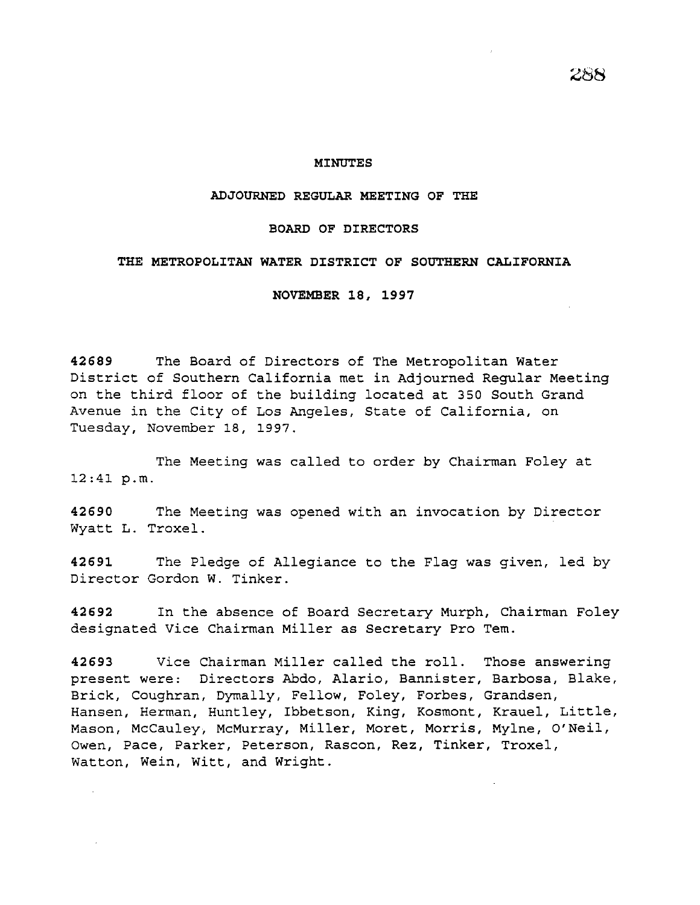## **MINUTES**

## **ADJOURNED REGULAR MEETING OF THE**

### **BOARD OF DIRECTORS**

#### **THE METROPOLITAN WATER DISTRICT OF SOUTHERN CALIFORNIA**

**NOVEMBER 18, 1997** 

**42689** The Board of Directors of The Metropolitan Water District of Southern California met in Adjourned Regular Meeting on the third floor of the building located at 350 South Grand Avenue in the City of Los Angeles, State of California, on Tuesday, November 18, 1997.

The Meeting was called to order by Chairman Foley at 12:41 p.m.

**42690** The Meeting was opened with an invocation by Director Wyatt L. Troxel.

**42691** The Pledge of Allegiance to the Flag was given, led by Director Gordon W. Tinker.

**42692** In the absence of Board Secretary Murph, Chairman Foley designated Vice Chairman Miller as Secretary Pro Tem.

**42693** Vice Chairman Miller called the roll. Those answering present were: Directors Abdo, Alaric, Bannister, Barbosa, Blake, Brick, Coughran, Dymally, Fellow, Foley, Forbes, Grandsen, Hansen, Herman, Huntley, Ibbetson, King, Kosmont, Krauel, Little, Mason, McCauley, McMurray, Miller, Moret, Morris, Mylne, O'Neil, Owen, Pace, Parker, Peterson, Rascon, Rez, Tinker, Troxel, Watton, Wein, Witt, and Wright.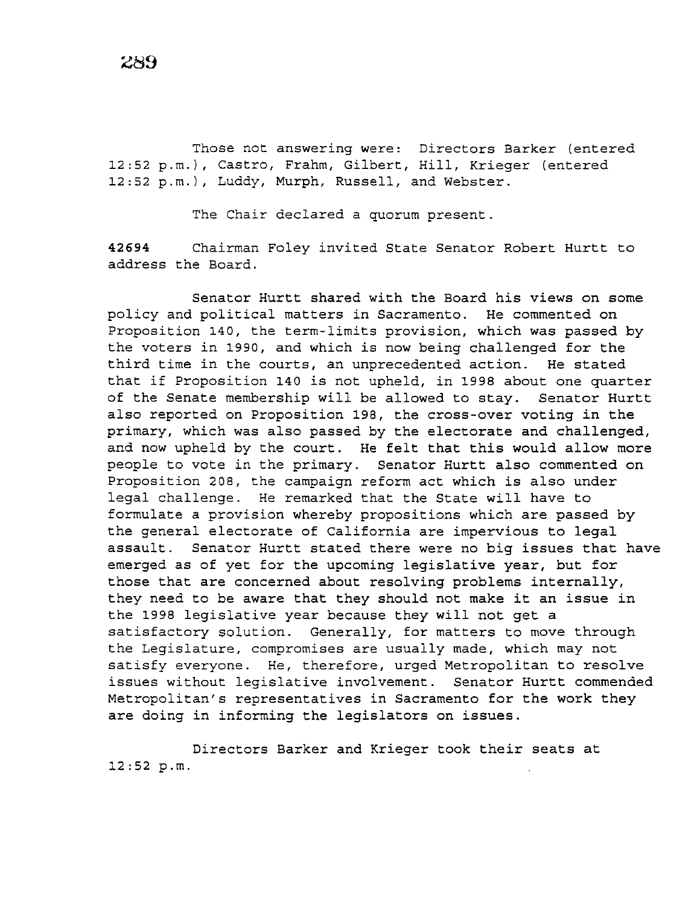Those not answering were: Directors Barker (entered 12:52 p.m.), Castro, Frahm, Gilbert, Hill, Krieger (entered 12:52 p.m.), Luddy, Murph, Russell, and Webster.

The Chair declared a quorum present.

**42694** Chairman Foley invited State Senator Robert Hurtt to address the Board.

Senator Hurtt shared with the Board his views on some policy and political matters in Sacramento. He commented on Proposition 140, the term-limits provision, which was passed by the voters in 1990, and which is now being challenged for the third time in the courts, an unprecedented action. He stated that if Proposition 140 is not upheld, in 1998 about one quarter of the Senate membership will be allowed to stay. Senator Hurtt also reported on Proposition 198, the cross-over voting in the primary, which was also passed by the electorate and challenged, and now upheld by the court. He felt that this would allow more people to vote in the primary. Senator Hurtt also commented on Proposition 208, the campaign reform act which is also under legal challenge. He remarked that the State will have to formulate a provision whereby propositions which are passed by the general electorate of California are impervious to legal assault. Senator Hurtt stated there were no big issues that have emerged as of yet for the upcoming legislative year, but for those that are concerned about resolving problems internally, they need to be aware that they should not make it an issue in the 1998 legislative year because they will not get a satisfactory solution. Generally, for matters to move through the Legislature, compromises are usually made, which may not satisfy everyone. He, therefore, urged Metropolitan to resolve issues without legislative involvement. Senator Hurtt commended Metropolitan's representatives in Sacramento for the work they are doing in informing the legislators on issues.

Directors Barker and Krieger took their seats at 12:52 p.m.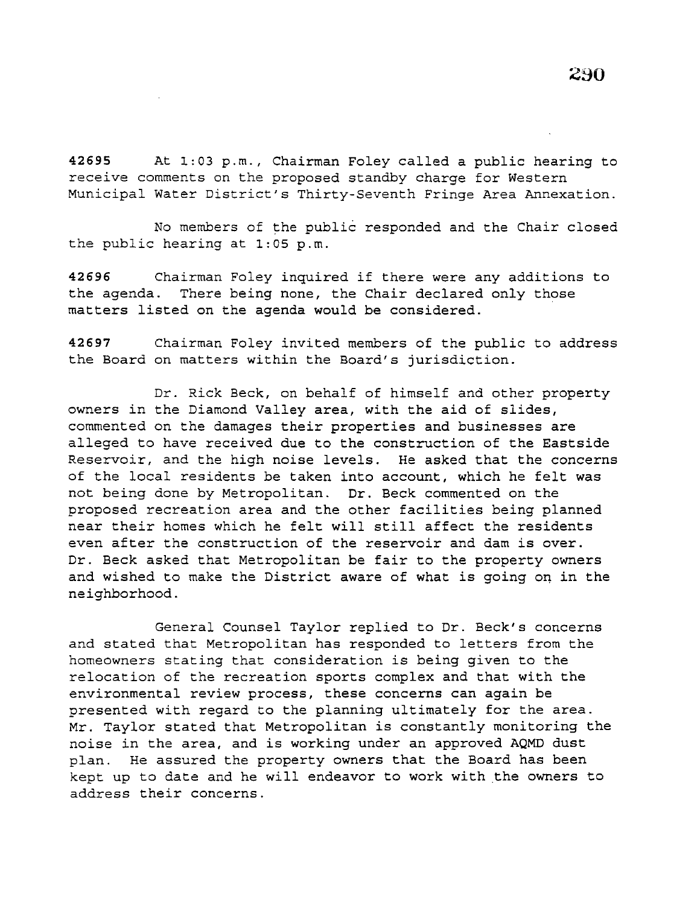**42695** At 1:03 p.m., Chairman Foley called a public hearing to receive comments on the proposed standby charge for Western Municipal Water District's Thirty-Seventh Fringe Area Annexation.

No members of the public responded and the Chair closed the public hearing at 1:05 p.m.

**<sup>42696</sup>**Chairman Foley inquired if there were any additions to the agenda. There being none, the Chair declared only those matters listed on the agenda would be considered.

**42697** Chairman Foley invited members of the public to address the Board on matters within the Board's jurisdiction.

Dr. Rick Beck, on behalf of himself and other property owners in the Diamond Valley area, with the aid of slides, commented on the damages their properties and businesses are alleged to have received due to the construction of the Eastside Reservoir, and the high noise levels. He asked that the concerns of the local residents be taken into account, which he felt was not being done by Metropolitan. Dr. Beck commented on the proposed recreation area and the other facilities being planned near their homes which he felt will still affect the residents even after the construction of the reservoir and dam is over. Dr. Beck asked that Metropolitan be fair to the property owners and wished to make the District aware of what is going on in the neighborhood.

General Counsel Taylor replied to Dr. Beck's concerns and stated that Metropolitan has responded to letters from the homeowners stating that consideration is being given to the relocation of the recreation sports complex and that with the environmental review process, these concerns can again be presented with regard to the planning ultimately for the area. Mr. Taylor stated that Metropolitan *is* constantly monitoring the noise in the area, and is working under an approved AQMD dust plan. He assured the property owners that the Board has been kept up to date and he will endeavor to work with the owners to address their concerns.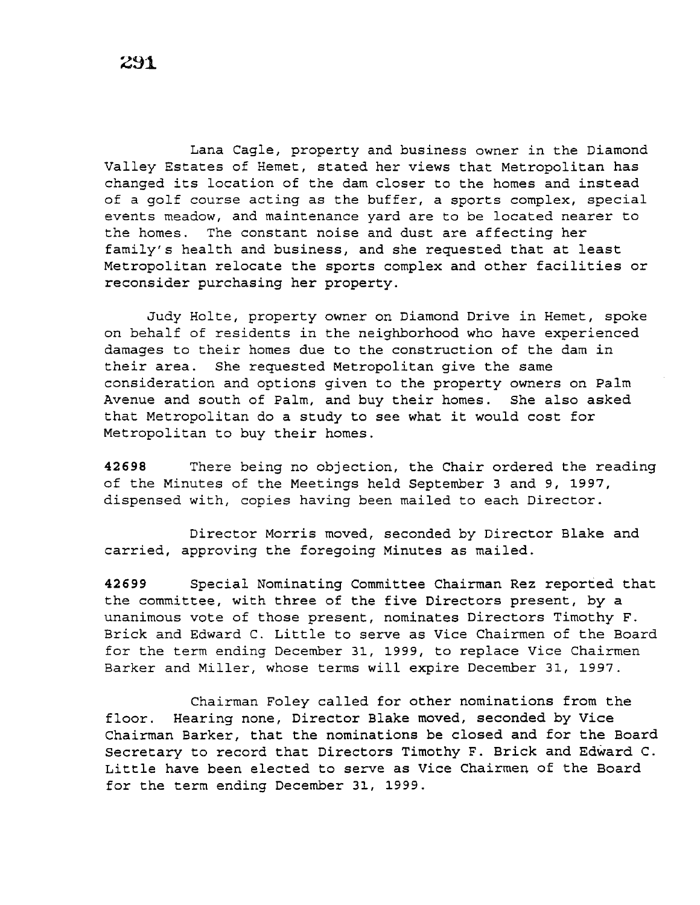Lana Cagle, property and business owner in the Diamond Valley Estates of Hemet, stated her views that Metropolitan has changed its location of the dam closer to the homes and instead of a golf course acting as the buffer, a sports complex, special events meadow, and maintenance yard are to be located nearer to the homes. The constant noise and dust are affecting her family's health and business, and she requested that at least Metropolitan relocate the sports complex and other facilities or reconsider purchasing her property.

Judy Holte, property owner on Diamond Drive in Hemet, spoke on behalf of residents in the neighborhood who have experienced damages to their homes due to the construction of the dam in their area. She requested Metropolitan give the same consideration and options given to the property owners on Palm Avenue and south of Palm, and buy their homes. She also asked that Metropolitan do a study to see what it would cost for Metropolitan to buy their homes.

**42698** There being no objection, the Chair ordered the reading of the Minutes of the Meetings held September 3 and 9, 1997, dispensed with, copies having been mailed to each Director.

Director Morris moved, seconded by Director Blake and carried, approving the foregoing Minutes as mailed.

**42699** Special Nominating Committee Chairman Rez reported that the committee, with three of the five Directors present, by a unanimous vote of those present, nominates Directors Timothy F. Brick and Edward C. Little to serve as Vice Chairmen of the Board for the term ending December 31, 1999, to replace Vice Chairmen Barker and Miller, whose terms will expire December 31, 1997.

Chairman Foley called for other nominations from the floor. Hearing none, Director Blake moved, seconded by Vice Chairman Barker, that the nominations be closed and for the Board Secretary to record that Directors Timothy F. Brick and Edward C. Little have been elected to serve as Vice Chairmen of the Board for the term ending December 31, 1999.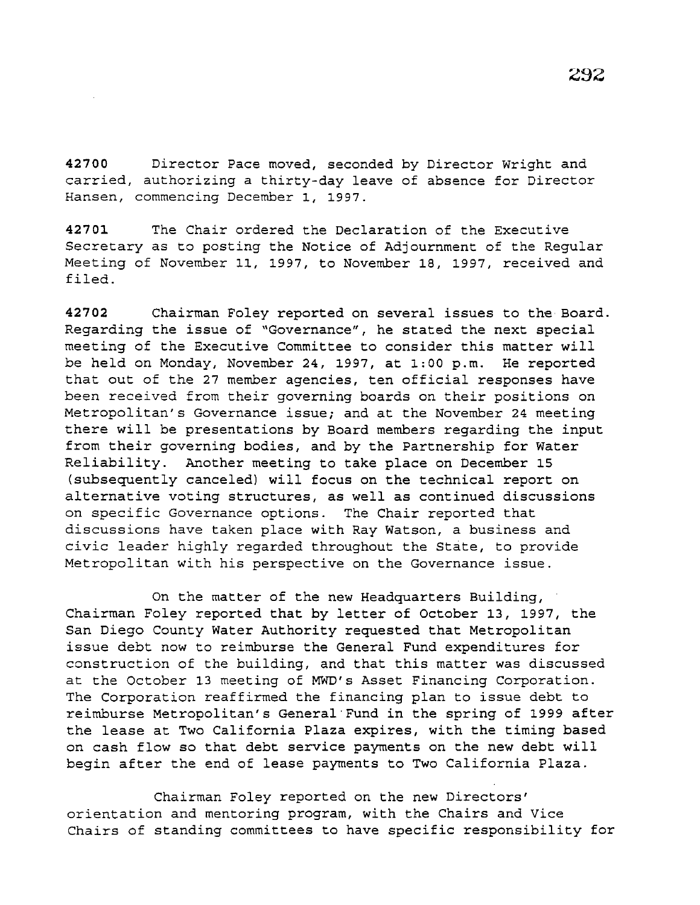42700 Director Pace moved, seconded by Director Wright and carried, authorizing a thirty-day leave of absence for Director Hansen, commencing December 1, 1997.

42701 The Chair ordered the Declaration of the Executive Secretary as to posting the Notice of Adjournment of the Regular Meeting of November 11, 1997, to November 18, 1997, received and filed.

42702 Chairman Foley reported on several issues to the Board. Regarding the issue of "Governance", he stated the next special meeting of the Executive Committee to consider this matter will be held on Monday, November 24, 1997, at 1:00 p.m. He reported that out of the 27 member agencies, ten official responses have been received from their governing boards on their positions on Metropolitan's Governance issue; and at the November 24 meeting there will be presentations by Board members regarding the input from their governing bodies, and by the Partnership for Water Reliability. Another meeting to take place on December 15 (subsequently canceled) will focus on the technical report on alternative voting structures, as well as continued discussions on specific Governance options. The Chair reported that discussions have taken place with Ray Watson, a business and *civic* leader highly regarded throughout the State, to provide Metropolitan with his perspective on the Governance issue.

On the matter of the new Headquarters Building, Chairman Foley reported that by letter of October 13, 1997, the San Diego County Water Authority requested that Metropolitan issue debt now to reimburse the General Fund expenditures for construction of the building, and that this matter was discussed at the October 13 meeting of MWD's Asset Financing Corporation. The Corporation reaffirmed the financing plan to issue debt to reimburse Metropolitan's General·Fund *in* the spring of 1999 after the lease at Two California Plaza expires, with the timing based on cash flow so that debt service payments on the new debt will begin after the end of lease payments to Two California Plaza.

Chairman Foley reported on the new Directors' orientation and mentoring program, with the Chairs and Vice Chairs of standing committees to have specific responsibility for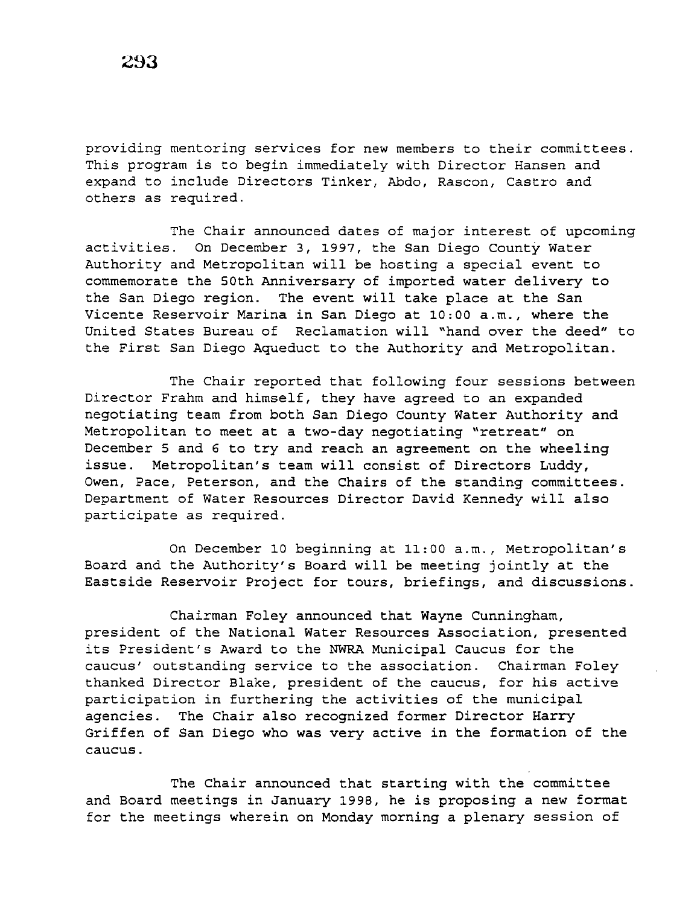providing mentoring services for new members to their committees. This program is to begin immediately with Director Hansen and expand to include Directors Tinker, Abdo, Rascon, Castro and others as required.

The Chair announced dates of major interest of upcoming activities. On December 3, 1997, the San *Diego* County Water Authority and Metropolitan will be hosting a special event to commemorate the 50th Anniversary of imported water delivery to the San *Diego* region. The event will take place at the San Vicente Reservoir Marina in San *Diego* at 10:00 a.m., where the United States Bureau of Reclamation will "hand over the deed" to the First San *Diego* Aqueduct to the Authority and Metropolitan.

The Chair reported that following four sessions between Director Frahm and himself, they have agreed to an expanded negotiating team from both San *Diego* County Water Authority and Metropolitan to meet at a two-day negotiating "retreat" on December 5 and 6 to try and reach an agreement on the wheeling issue. Metropolitan's team will consist of Directors Luddy, Owen, Pace, Peterson, and the Chairs of the standing committees. Department of Water Resources Director David Kennedy will also participate as required.

On December 10 beginning at 11:00 a.m., Metropolitan's Board and the Authority's Board will be meeting jointly at the Eastside Reservoir Project for tours, briefings, and discussions.

Chairman Foley announced that Wayne Cunningham, president of the National Water Resources Association, presented its President's Award to the NWRA Municipal Caucus for the caucus' outstanding service to the association. Chairman Foley thanked Director Blake, president of the caucus, for his active participation in furthering the activities of the municipal agencies. The Chair also recognized former Director Harry Griffen of San *Diego* who was very active in the formation of the caucus.

The Chair announced that starting with the committee and Board meetings in January 1998, he is proposing a new format for the meetings wherein on Monday morning a plenary session of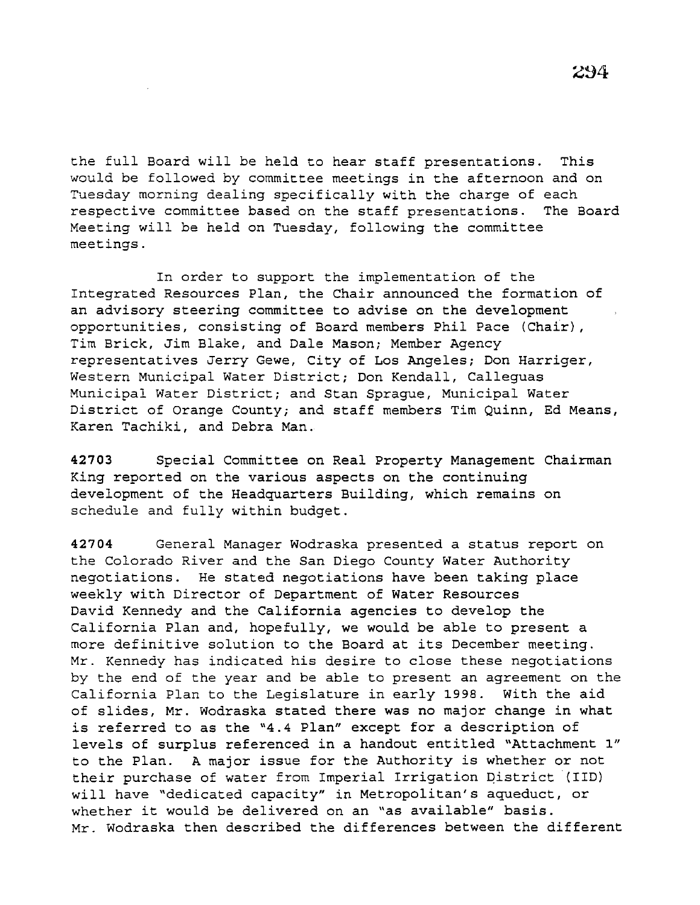the full Board will be held to hear staff presentations. This would be followed by committee meetings in the afternoon and on Tuesday morning dealing specifically with the charge of each respective committee based on the staff presentations. The Board Meeting will be held on Tuesday, following the committee meetings.

In order to support the implementation of the Integrated Resources Plan, the Chair announced the formation of an advisory steering committee to advise on the development opportunities, consisting of Board members Phil Pace (Chair), Tim Brick, Jim Blake, and Dale Mason; Member Agency representatives Jerry Gewe, City of Los Angeles; Don Harriger, Western Municipal Water District; Don Kendall, Calleguas Municipal Water District; and Stan Sprague, Municipal Water District of Orange County; and staff members Tim Quinn, Ed Means, Karen Tachiki, and Debra Man.

**42703** Special Committee on Real Property Management Chairman King reported on the various aspects on the continuing development of the Headquarters Building, which remains on schedule and fully within budget.

**42704** General Manager Wodraska presented a status report on the Colorado River and the San Diego County Water Authority negotiations. He stated negotiations have been taking place weekly with Director of Department of Water Resources David Kennedy and the California agencies to develop the California Plan and, hopefully, we would be able to present a more definitive solution to the Board at its December meeting. Mr. Kennedy has indicated his desire to close these negotiations by the end of the year and be able to present an agreement on the California Plan to the Legislature in early 1998. With the aid of slides, Mr. Wodraska stated there was no major change in what is referred to as the "4.4 Plan" except for a description of levels of surplus referenced in a handout entitled "Attachment 1" to the Plan. A major issue for the Authority is whether or not their purchase of water from Imperial Irrigation pistrict (IID) will have "dedicated capacity" in Metropolitan's aqueduct, or whether it would be delivered on an "as available" basis. Mr. Wodraska then described the differences between the different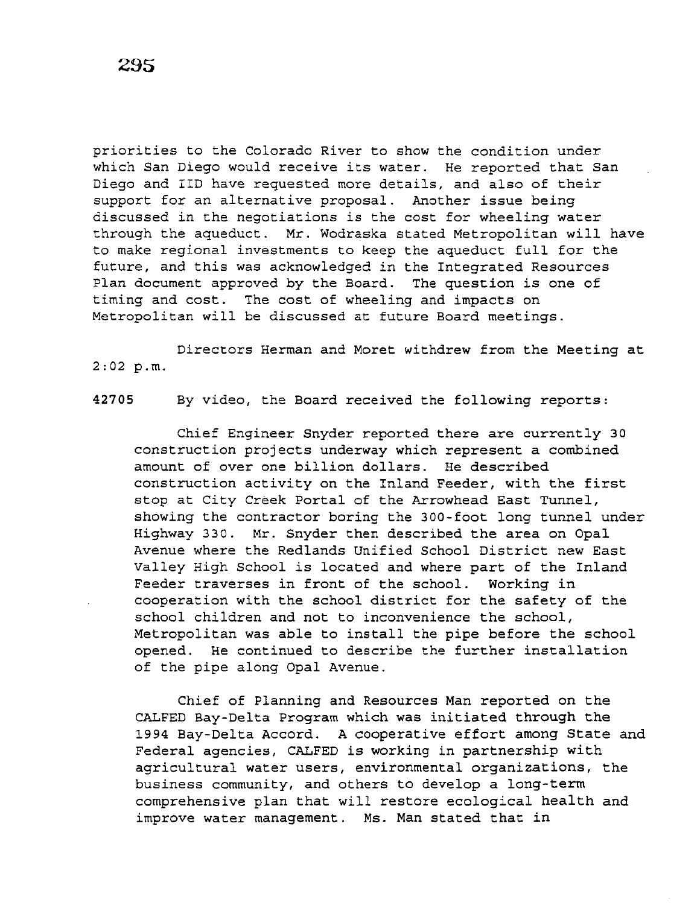priorities to the Colorado River to show the condition under which San Diego would receive its water. He reported that San Diego and IID have requested more details, and also of their support for an alternative proposal. Another issue being discussed in the negotiations is the cost for wheeling water through the aqueduct. Mr. Wodraska stated Metropolitan will have to make regional investments to keep the aqueduct full for the future, and this was acknowledged in the Integrated Resources Plan document approved by the Board. The question is one of timing and cost. The cost of wheeling and impacts on Metropolitan will be discussed at future Board meetings.

Directors Herman and Moret withdrew from the Meeting at 2:02 p.m.

42705 By video, the Board received the following reports:

Chief Engineer Snyder reported there are currently 30 construction projects underway which represent a combined amount of over one billion dollars. He described construction activity on the Inland Feeder, with the first stop at City Creek Portal of the Arrowhead East Tunnel, showing the contractor boring the 300-foot long tunnel under Highway 330. Mr. Snyder then described the area on Opal Avenue where the Redlands Unified School District new East Valley High School is located and where part of the Inland Feeder traverses in front of the school. Working in cooperation with the school district for the safety of the school children and not to inconvenience the school, Metropolitan was able to install the pipe before the school opened. He continued to describe the further installation of the pipe along Opal Avenue.

Chief of Planning and Resources Man reported on the CALFED Bay-Delta Program which was initiated through the 1994 Bay-Delta Accord. A cooperative effort among State and Federal agencies, CALFED is working in partnership with agricultural water users, environmental organizations, the business community, and others to develop a long-term comprehensive plan that will restore ecological health and improve water management. Ms. Man stated that in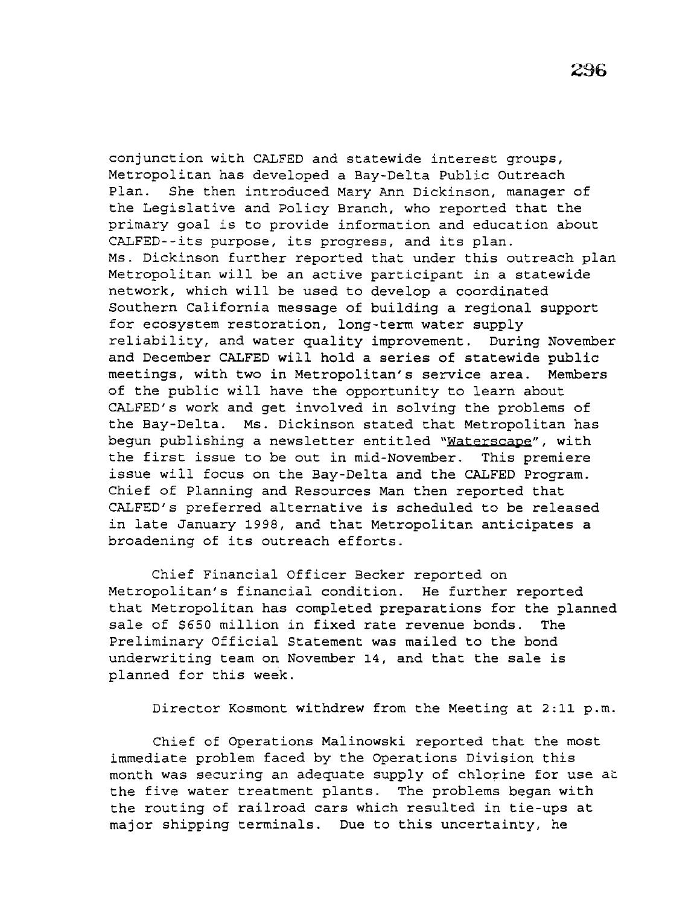conjunction with CALFED and statewide interest groups, Metropolitan has developed a Bay-Delta Public Outreach Plan. She then introduced Mary Ann Dickinson, manager of the Legislative and Policy Branch, who reported that the primary goal is to provide information and education about CALFED--its purpose, its progress, and its plan. Ms. Dickinson further reported that under this outreach plan Metropolitan will be an active participant in a statewide network, which will be used to develop a coordinated Southern California message of building a regional support for ecosystem restoration, long-term water supply reliability, and water quality improvement. During November and December CALFED will hold a series of statewide public meetings, with two in Metropolitan's service area. Members of the public will have the opportunity to learn about CALFED's work and get involved in solving the problems of the Bay-Delta. Ms. Dickinson stated that Metropolitan has begun publishing a newsletter entitled "Waterscape", with the first issue to be out in mid-November. This premiere issue will focus on the Bay-Delta and the CALFED Program. Chief of Planning and Resources Man then reported that CALFED's preferred alternative is scheduled to be released in late January 1998, and that Metropolitan anticipates a broadening of its outreach efforts.

Chief Financial Officer Becker reported on Metropolitan's financial condition. He further reported that Metropolitan has completed preparations for the planned sale of \$650 million in fixed rate revenue bonds. The Preliminary Official Statement was mailed to the bond underwriting team on November 14, and that the sale is planned for this week.

Director Kosmont withdrew from the Meeting at 2:11 p.m.

Chief of Operations Malinowski reported that the most immediate problem faced by the Operations Division this month was securing an adequate supply of chlorine for use at the five water treatment plants. The problems began with the routing of railroad cars which resulted in tie-ups at major shipping terminals. Due to this uncertainty, he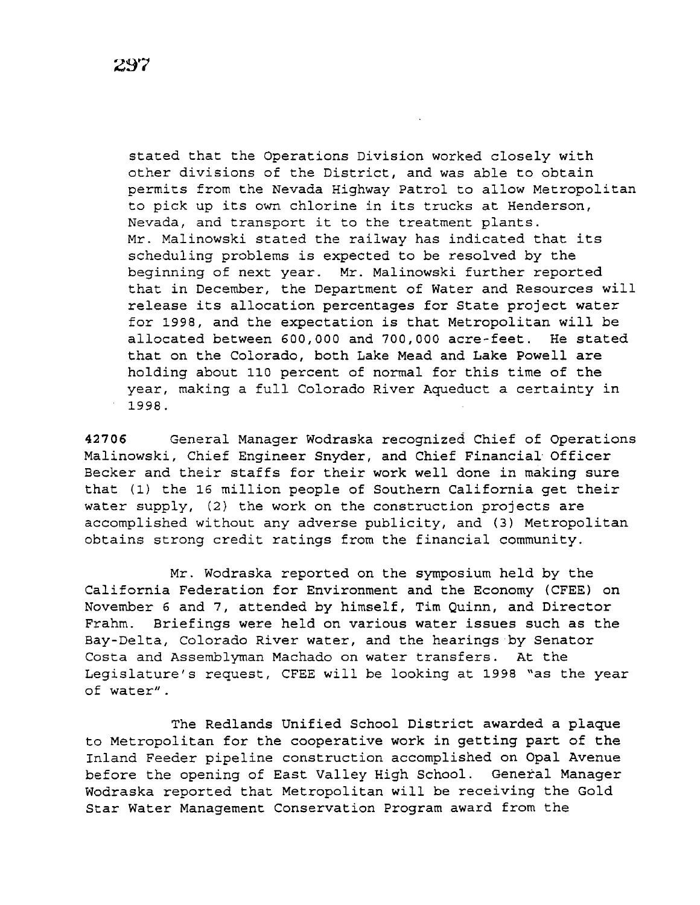stated that the Operations Division worked closely with other divisions of the District, and was able to obtain permits from the Nevada Highway Patrol to allow Metropolitan to pick up its own chlorine in its trucks at Henderson, Nevada, and transport it to the treatment plants. Mr. Malinowski stated the railway has indicated that its scheduling problems is expected to be resolved by the beginning of next year. Mr. Malinowski further reported that in December, the Department of Water and Resources will release its allocation percentages for State project water for 1998, and the expectation is that Metropolitan will be allocated between 600,000 and 700,000 acre-feet. He stated that on the Colorado, both Lake Mead and Lake Powell are holding about 110 percent of normal for this time of the year, making a full Colorado River Aqueduct a certainty in 1998.

**42706** General Manager Wodraska recognized Chief of Operations Malinowski, Chief Engineer Snyder, and Chief Financial Officer Becker and their staffs for their work well done in making sure that (1) the 16 million people of Southern California get their water supply, (2) the work on the construction projects are accomplished without any adverse publicity, and (3) Metropolitan obtains strong credit ratings from the financial community.

Mr. Wodraska reported on the symposium held by the California Federation for Environment and the Economy (CFEE) on November 6 and 7, attended by himself, Tim Quinn, and Director Frahm. Briefings were held on various water issues such as the Bay-Delta, Colorado River water, and the hearings by Senator Costa and Assemblyman Machado on water transfers. At the Legislature's request, CFEE will be looking at 1998 "as the year of water".

The Redlands Unified School District awarded a plaque to Metropolitan for the cooperative work in getting part of the Inland Feeder pipeline construction accomplished on Opal Avenue before the opening of East Valley High School. General Manager Wodraska reported that Metropolitan will be receiving the Gold Star Water Management Conservation Program award from the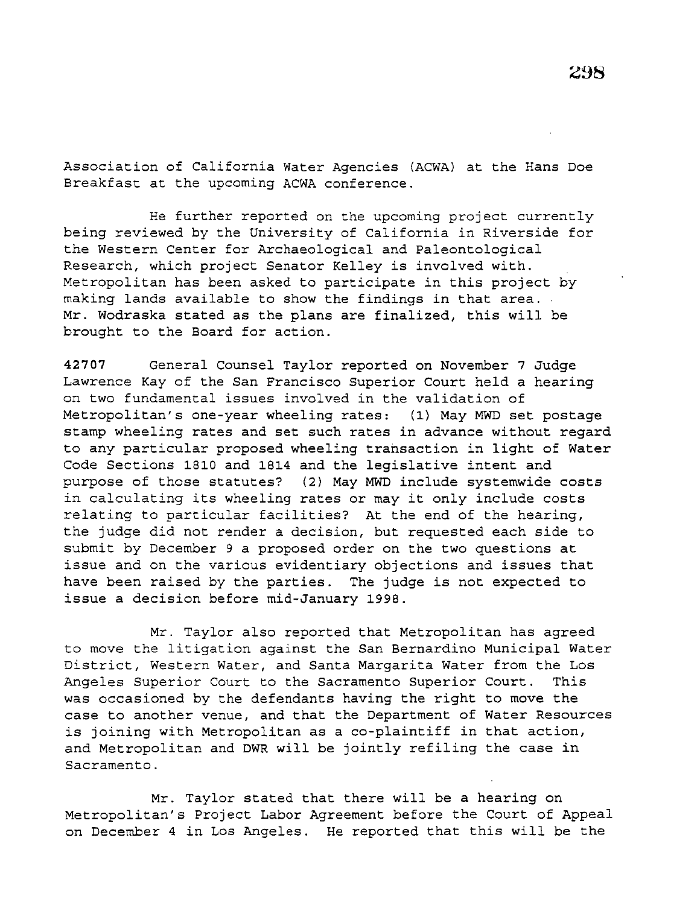Association of California Water Agencies (ACWA) at the Hans Doe Breakfast at the upcoming ACWA conference.

He further reported on the upcoming project currently being reviewed by the University of California in Riverside for the Western Center for Archaeological and Paleontological Research, which project Senator Kelley is involved with. Metropolitan has been asked to participate in this project by making lands available to show the findings in that area. Mr. Wodraska stated as the plans are finalized, this will be brought to the Board for action.

**42707** General Counsel Taylor reported on November 7 Judge Lawrence Kay of the San Francisco Superior Court held a hearing on two fundamental issues involved in the validation of Metropolitan's one-year wheeling rates: (1) May MWD set postage stamp wheeling rates and set such rates in advance without regard to any particular proposed wheeling transaction in light of Water Code Sections 1810 and 1814 and the legislative intent and purpose of those statutes? (2) May MWD include systemwide costs in calculating its wheeling rates or may it only include costs relating to particular facilities? At the end of the hearing, the judge did not render a decision, but requested each side to submit by December 9 a proposed order on the two questions at issue and on the various evidentiary objections and issues that have been raised by the parties. The judge is not expected to issue a decision before mid-January 1998.

Mr. Taylor also reported that Metropolitan has agreed to move the litigation against the San Bernardino Municipal Water District, Western Water, and Santa Margarita Water from the Los Angeles Superior Court to the Sacramento Superior Court. This was occasioned by the defendants having the right to move the case to another venue, and that the Department of Water Resources is joining with Metropolitan as a co-plaintiff in that action, and Metropolitan and DWR will be jointly refiling the case in Sacramento.

Mr. Taylor stated that there will be a hearing on Metropolitan's Project Labor Agreement before the Court of Appeal on December 4 in Los Angeles. He reported that this will be the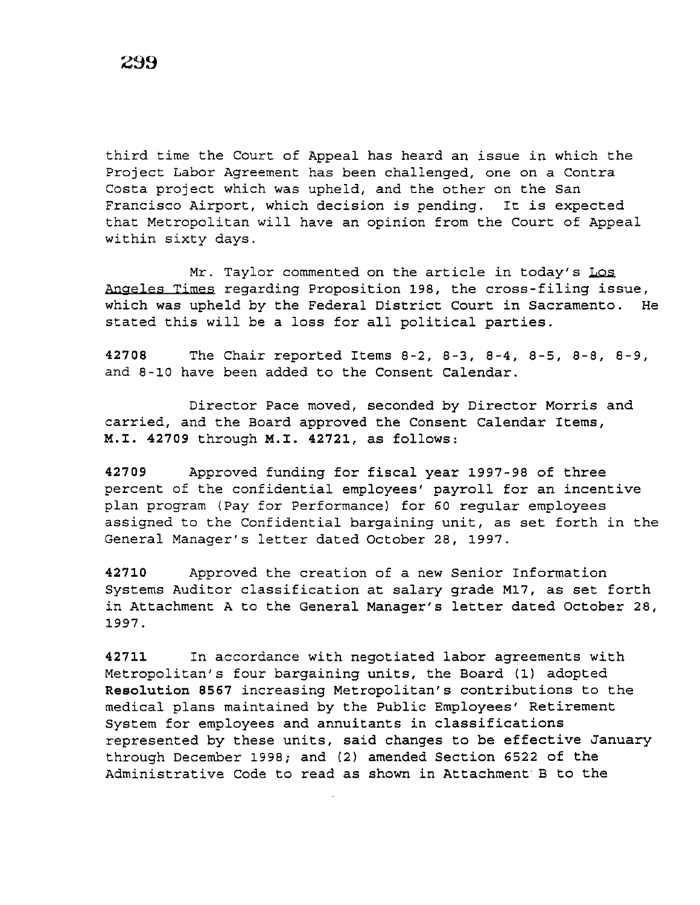third time the Court of Appeal has heard an issue in which the Project Labor Agreement has been challenged, one on a Contra Costa project which was upheld, and the other on the San Francisco Airport, which decision is pending. It is expected that Metropolitan will have an opinion from the Court of Appeal within sixty days.

Mr. Taylor commented on the article in today's Los Angeles Times regarding Proposition 198, the cross-filing issue, which was upheld by the Federal District Court in Sacramento. He stated this will be a loss for all political parties.

**42708** The Chair reported Items 8-2, 8-3, 8-4, 8-5, 8-8, 8-9, and 8-10 have been added to the Consent Calendar.

Director Pace moved, seconded by Director Morris and carried, and the Board approved the Consent Calendar Items, **M.I. 42709** through **M.I. 42721,** as follows:

**42709** Approved funding for fiscal year 1997-98 of three percent of the confidential employees' payroll for an incentive plan program (Pay for Performance) for 60 regular employees assigned to the Confidential bargaining unit, as set forth in the General Manager's letter dated October 28, 1997.

**42710** Approved the creation of a new Senior Information Systems Auditor classification at salary grade M17, as set forth in Attachment A to the General Manager's letter dated October 28, 1997.

**42711** In accordance with negotiated labor agreements with Metropolitan's four bargaining units, the Board (1) adopted **Resolution 8567** increasing Metropolitan's contributions to the medical plans maintained by the Public Employees' Retirement System for employees and annuitants in classifications represented by these units, said changes to be effective January through December 1998; and (2) amended Section 6522 of the Administrative Code to read as shown in Attachment· B to the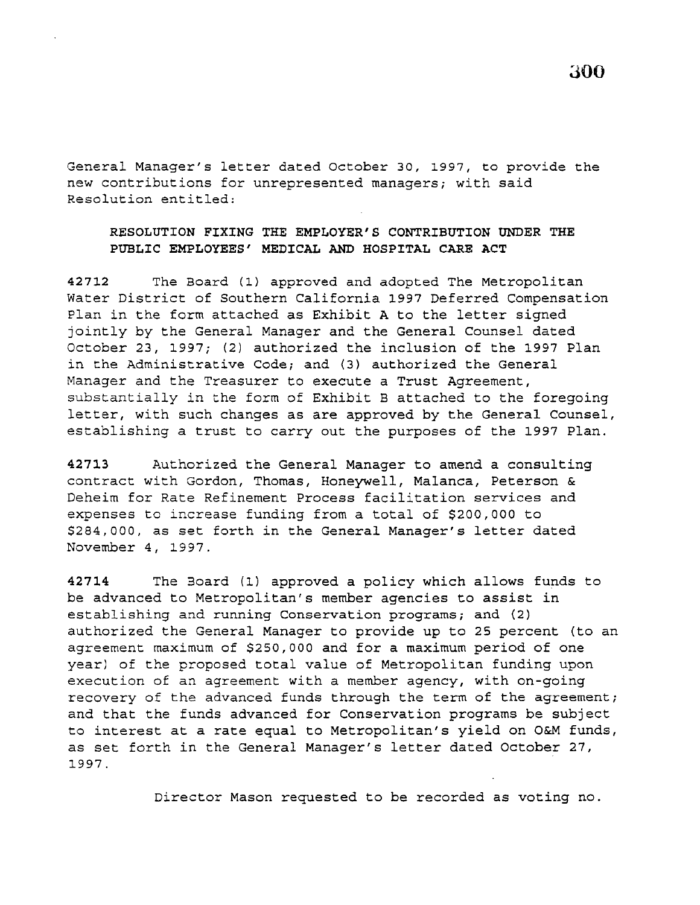General Manager's letter dated October 30, 1997, to provide the new contributions for unrepresented managers; with said Resolution entitled:

# **RESOLUTION FIXING THE EMPLOYER'S CONTRIBUTION UNDER THE PUBLIC EMPLOYEES' MEDICAL AND HOSPITAL CARE ACT**

**42712** The Board (1) approved and adopted The Metropolitan Water District of Southern California 1997 Deferred Compensation Plan in the form attached as Exhibit A to the letter signed jointly by the General Manager and the General Counsel dated October 23, 1997; (2) authorized the inclusion of the 1997 Plan in the Administrative Code; and (3) authorized the General Manager and the Treasurer to execute a Trust Agreement, substantially in the form of Exhibit B attached to the foregoing letter, with such changes as are approved by the General Counsel, establishing a trust to carry out the purposes of the 1997 Plan.

**42713** Authorized the General Manager to amend a consulting contract with Gordon, Thomas, Honeywell, Malanca, Peterson & Deheim for Rate Refinement Process facilitation services and expenses to increase funding from a total of \$200,000 to \$284,000, as set forth in the General Manager's letter dated November 4, 1997.

**42714** The Board (1) approved a policy which allows funds to be advanced to Metropolitan's member agencies to assist in establishing and running Conservation programs; and {2) authorized the General Manager to provide up to 25 percent (to an agreement maximum of \$250,000 and for a maximum period of one year) of the proposed total value of Metropolitan funding upon execution of an agreement with a member agency, with on-going recovery of the advanced funds through the term of the agreement; and that the funds advanced for Conservation programs be subject to interest at a rate equal to Metropolitan's yield on O&M funds, as set forth in the General Manager's letter dated October 27, 1997.

Director Mason requested to be recorded as voting no.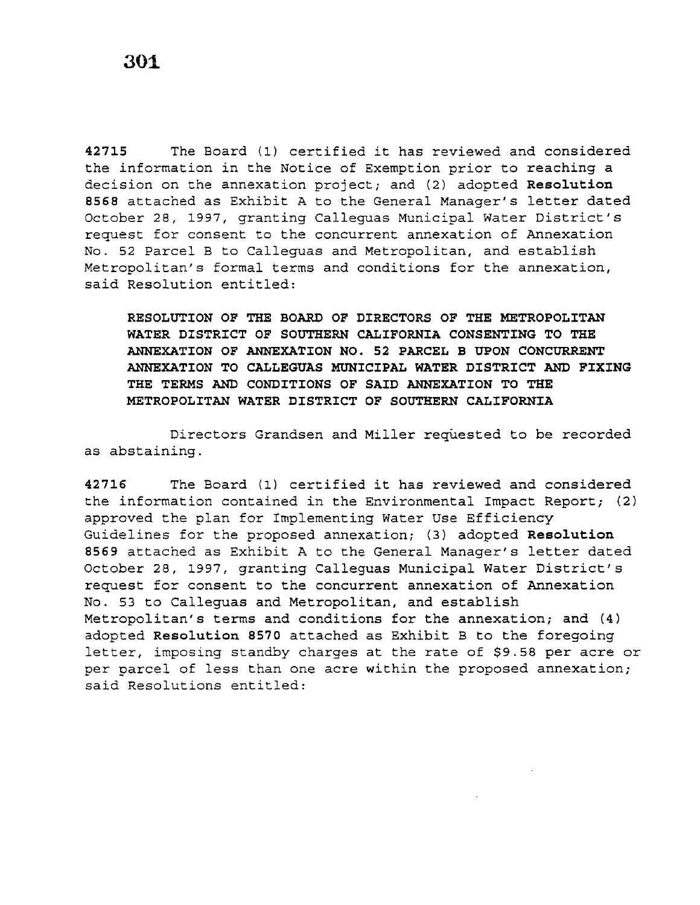**<sup>42715</sup>**The Board (1) certified it has reviewed and considered the information in the Notice of Exemption prior to reaching a decision on the annexation project; and (2) adopted **Resolution <sup>8568</sup>**attached as Exhibit A to the General Manager's letter dated October 28, 1997, granting Calleguas Municipal Water District's request for consent to the concurrent annexation of Annexation No. 52 Parcel B to Calleguas and Metropolitan, and establish Metropolitan's formal terms and conditions for the annexation, said Resolution entitled:

**RESOLUTION OF THE BOARD OF DIRECTORS OF THE METROPOLITAN WATER DISTRICT OF SOUTHERN CALIFORNIA CONSENTING TO THE ANNEXATION OF ANNEXATION NO. 52 PARCEL B UPON CONCURRENT ANNEXATION TO CALLEGUAS MUNICIPAL WATER DISTRICT AND FIXING THE TERMS AND CONDITIONS OF SAID ANNEXATION TO THE METROPOLITAN WATER DISTRICT OF SOUTHERN CALIFORNIA** 

Directors Grandsen and Miller requested to be recorded as abstaining.

**<sup>42716</sup>**The Board (1) certified it has reviewed and considered the information contained in the Environmental Impact Report; (2) approved the plan for Implementing Water Use Efficiency Guidelines for the proposed annexation; (3) adopted **Resolution <sup>8569</sup>**attached as Exhibit A to the General Manager's letter dated October 28, 1997, granting Calleguas Municipal Water District's request for consent to the concurrent annexation of Annexation No. 53 to Calleguas and Metropolitan, and establish Metropolitan's terms and conditions for the annexation; and (4) adopted **Resolution 8570** attached as Exhibit B to the foregoing letter, imposing standby charges at the rate of \$9.58 per acre or per parcel of less than one acre within the proposed annexation; said Resolutions entitled: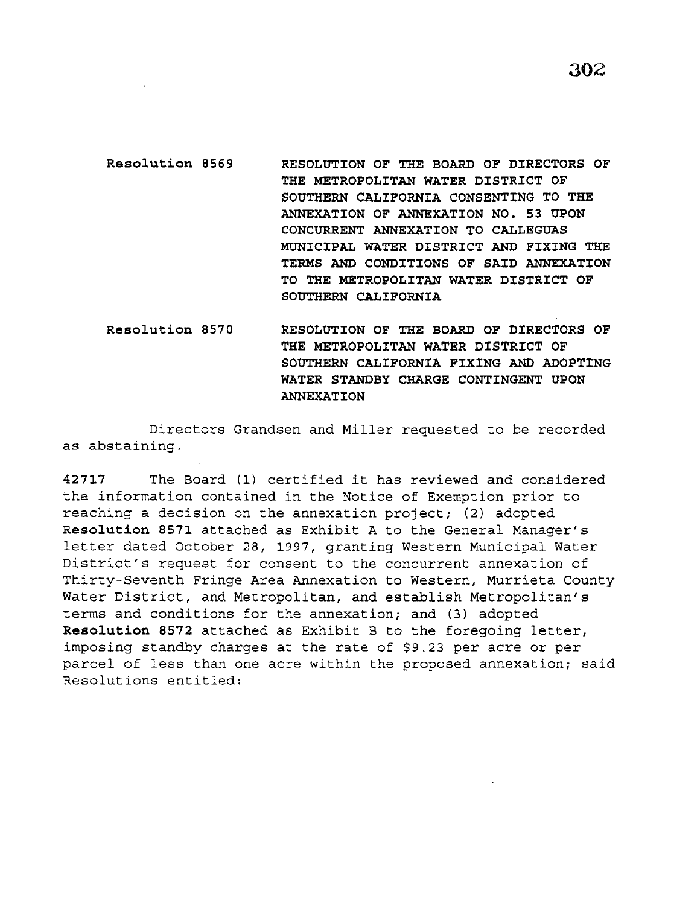**302** 

- **Resolution 8569 RESOLUTION OF THE BOARD OF DIRECTORS OF THE METROPOLITAN WATER DISTRICT OF SOUTHERN CALIFORNIA CONSENTING TO THE ANNEXATION OF ANNEXATION NO. 53 UPON CONCURRENT ANNEXATION TO CALLEGUAS MUNICIPAL WATER DISTRICT AND FIXING THE TERMS AND CONDITIONS OF SAID ANNEXATION TO THE METROPOLITAN WATER DISTRICT OF SOUTHERN CALIFORNIA**
- **Resolution 8570 RESOLUTION OF THE BOARD OF DIRECTORS OF THE METROPOLITAN WATER DISTRICT OF SOUTHERN CALIFORNIA FIXING AND ADOPTING WATER STANDBY CHARGE CONTINGENT UPON ANNEXATION**

Directors Grandsen and Miller requested to be recorded as abstaining.

**<sup>42717</sup>**The Board (1} certified it has reviewed and considered the information contained in the Notice of Exemption prior to reaching a decision on the annexation project; (2} adopted **Resolution 8571** attached as Exhibit A to the General Manager's letter dated October *28,* 1997, granting Western Municipal Water District's request for consent to the concurrent annexation of Thirty-Seventh Fringe Area Annexation to Western, Murrieta County Water District, and Metropolitan, and establish Metropolitan's terms and conditions for the annexation; and (3} adopted **Resolution 8572** attached as Exhibit B to the foregoing letter, imposing standby charges at the rate of \$9.23 per acre or per parcel of less than one acre within the proposed annexation; said Resolutions entitled: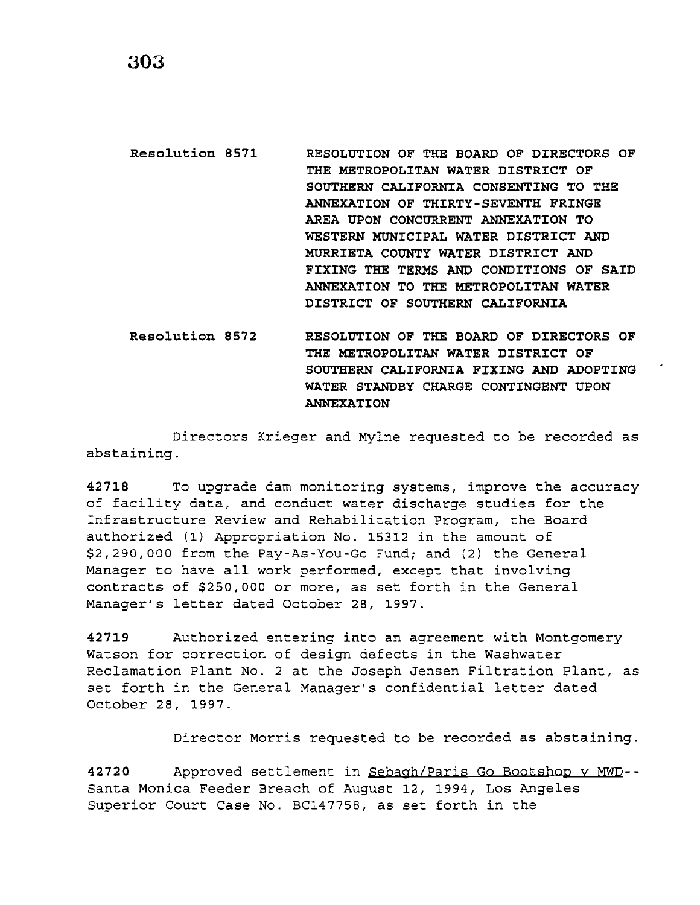**Resolution 8571 RESOLUTION OF THE BOARD OF DIRECTORS OF THE METROPOLITAN WATER DISTRICT OF SOUTHERN CALIFORNIA CONSENTING TO THE ANNEXATION OF THIRTY-SEVENTH FRINGE AREA UPON CONCURRENT ANNEXATION TO WESTERN MUNICIPAL WATER DISTRICT AND MURRIETA COUNTY WATER DISTRICT AND FIXING THE TERMS AND CONDITIONS OF SAID ANNEXATION TO THE METROPOLITAN WATER DISTRICT OF SOUTHERN CALIFORNIA** 

**Resolution 8572 RESOLUTION OF THE BOARD OF DIRECTORS OF THE METROPOLITAN WATER DISTRICT OF SOUTHERN CALIFORNIA FIXING AND ADOPTING WATER STANDBY CHARGE CONTINGENT UPON ANNEXATION** 

Directors Krieger and Mylne requested to be recorded as abstaining.

**42718** To upgrade dam monitoring systems, improve the accuracy of facility data, and conduct water discharge studies for the Infrastructure Review and Rehabilitation Program, the Board authorized (1) Appropriation No. 15312 in the amount of *\$2,290,000* from the Pay-As-You-Go Fund; and (2) the General Manager to have all work performed, except that involving contracts of \$250,000 or *more,* as set forth in the General Manager's letter dated October *28,* 1997.

**42719** Authorized entering into an agreement with Montgomery Watson for correction of design defects in the Washwater Reclamation Plant No. 2 at the Joseph Jensen Filtration Plant, as set forth in the General Manager's confidential letter dated October *28,* 1997.

Director Morris requested to be recorded as abstaining.

42720 Approved settlement in Sebagh/Paris Go Bootshop v MWD--Santa Monica Feeder Breach of August 12, 1994, Los Angeles Superior Court Case No. BC147758, as set forth in the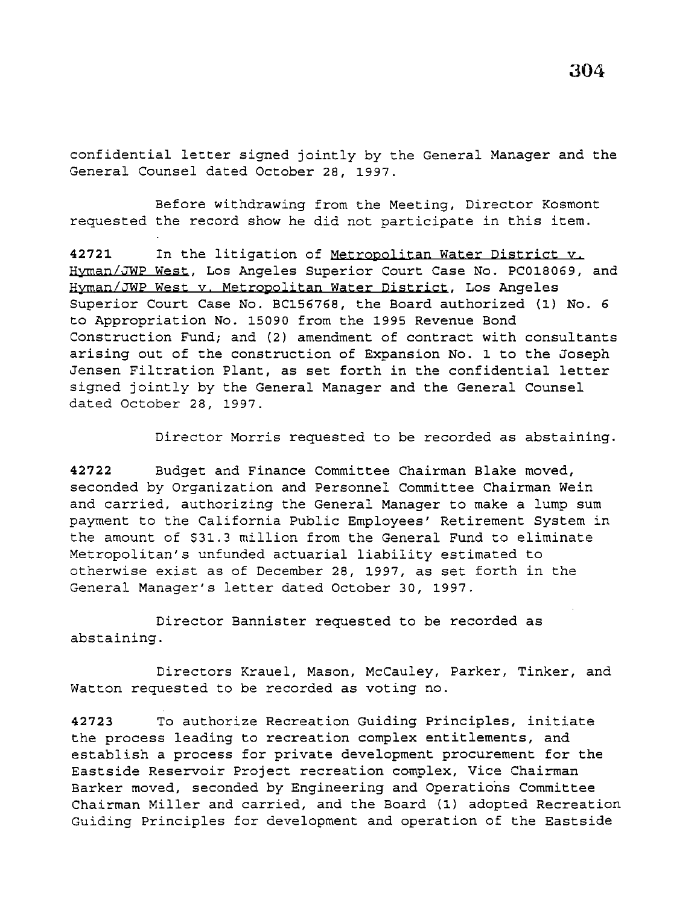confidential letter signed jointly by the General Manager and the General Counsel dated October 28, 1997.

Before withdrawing from the Meeting, Director Kosmont requested the record show he did not participate in this item.

**42721** In the litigation of Metropolitan Water District y. Hyman/JWP West, Los Angeles Superior Court Case No. PC018069, and Hyman/JWP West y. Metropolitan Water District, Los Angeles Superior Court Case No. BC156768, the Board authorized (1) No. 6 to Appropriation No. 15090 from the 1995 Revenue Bond Construction Fund; and (2) amendment of contract with consultants arising out of the construction of Expansion No. 1 to the Joseph Jensen Filtration Plant, as set forth in the confidential letter signed jointly by the General Manager and the General Counsel dated October 28, 1997.

Director Morris requested to be recorded as abstaining.

**42722** Budget and Finance Committee Chairman Blake moved, seconded by Organization and Personnel Committee Chairman Wein and carried, authorizing the General Manager to make a lump sum payment to the California Public Employees' Retirement System in the amount of \$31.3 million from the General Fund to eliminate Metropolitan's unfunded actuarial liability estimated to otherwise exist as of December 28, 1997, as set forth in the General Manager's letter dated October 30, 1997.

Director Bannister requested to be recorded as abstaining.

Directors Krauel, Mason, McCauley, Parker, Tinker, and Watton requested to be recorded as voting no.

**42723** To authorize Recreation Guiding Principles, initiate the process leading to recreation complex entitlements, and establish a process for private development procurement for the Eastside Reservoir Project recreation complex, Vice Chairman Barker moved, seconded by Engineering and Operations Committee Chairman Miller and carried, and the Board (1) adopted Recreation Guiding Principles for development and operation of the Eastside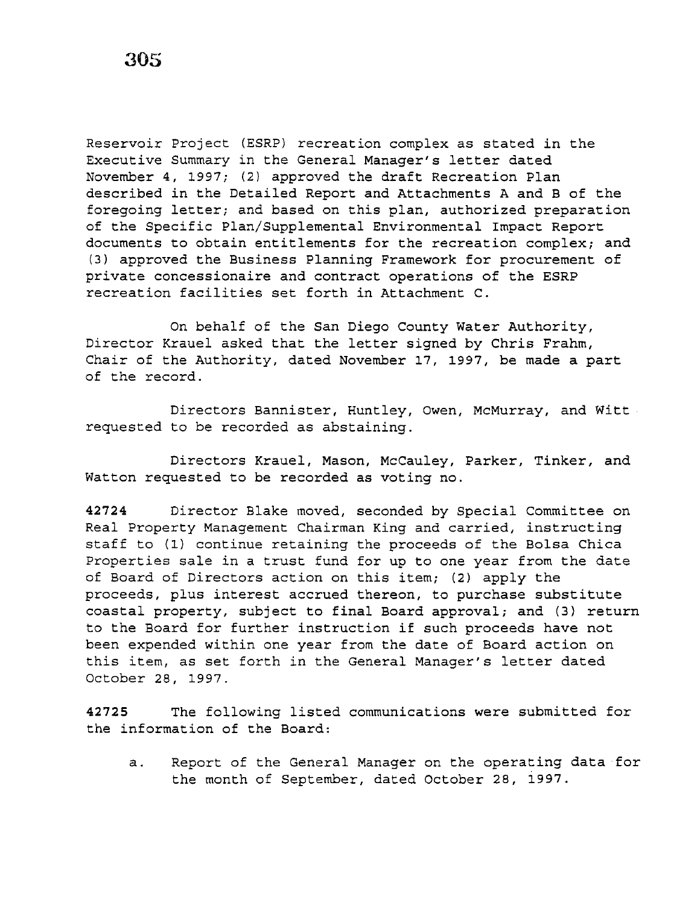Reservoir Project (ESRP) recreation complex as stated in the Executive Summary in the General Manager's letter dated November 4, 1997; (2) approved the draft Recreation Plan described in the Detailed Report and Attachments A and B of the foregoing letter; and based on this plan, authorized preparation of the Specific Plan/Supplemental Environmental Impact Report documents to obtain entitlements for the recreation complex; and (3) approved the Business Planning Framework for procurement of private concessionaire and contract operations of the ESRP recreation facilities set forth in Attachment C.

On behalf of the San Diego County Water Authority, Director Krauel asked that the letter signed by Chris Frahm, Chair of the Authority, dated November 17, 1997, be made a part of the record.

Directors Bannister, Huntley, Owen, McMurray, and Witt requested to be recorded as abstaining.

Directors Krauel, Mason, McCauley, Parker, Tinker, and Watton requested to be recorded as voting no.

**42724** Director Blake moved, seconded by Special Committee on Real Property Management Chairman King and carried, instructing staff to (1) continue retaining the proceeds of the Bolsa Chica Properties sale in a trust fund for up to one year from the date of Board of Directors action on this item; (2) apply the proceeds, plus interest accrued thereon, to purchase substitute coastal property, subject to final Board approval; and (3) return to the Board for further instruction if such proceeds have not been expended within one year from the date of Board action on this item, as set forth in the General Manager's letter dated October 28, 1997.

**42725** The following listed communications were submitted for the information of the Board:

a. Report of the General Manager on the operating data for the month of September, dated October 28, 1997.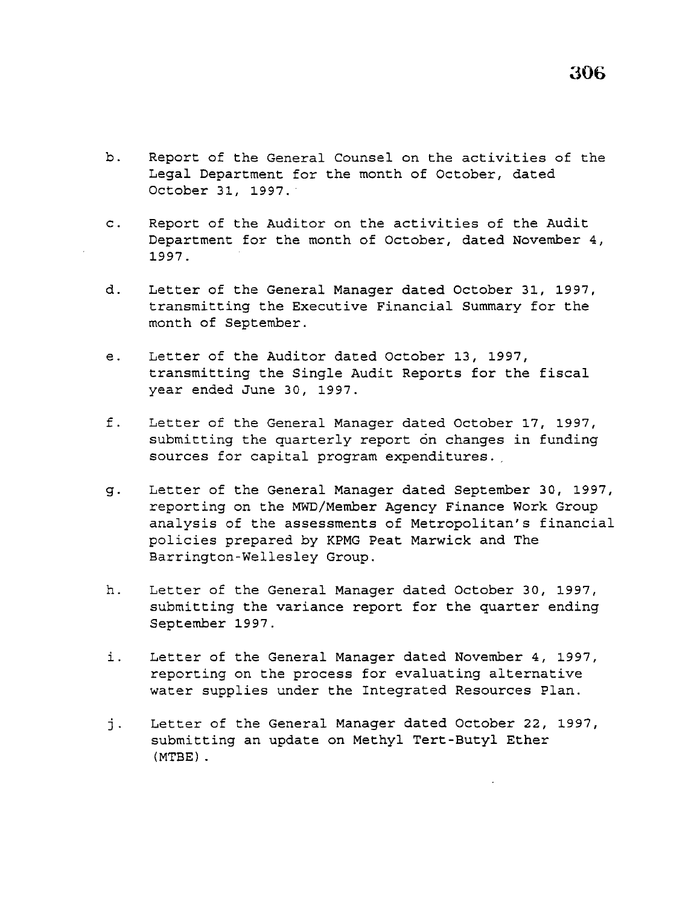- b. Report of the General Counsel on the activities of the Legal Department for the month of October, dated October 31, 1997. ·
- c. Report of the Auditor on the activities of the Audit Department for the month of October, dated November 4, 1997.
- d. Letter of the General Manager dated October 31, 1997, transmitting the Executive Financial Summary for the month of September.
- e. Letter of the Auditor dated October 13, 1997, transmitting the Single Audit Reports for the fiscal year ended June 30, 1997.
- f. Letter of the General Manager dated October 17, 1997, submitting the quarterly report on changes in funding sources for capital program expenditures.
- g. Letter of the General Manager dated September 30, 1997, reporting on the MWD/Member Agency Finance Work Group analysis of the assessments of Metropolitan's financial policies prepared by KPMG Peat Marwick and The Barrington-Wellesley Group.
- h. Letter of the General Manager dated October 30, 1997, submitting the variance report for the quarter ending September 1997.
- i. Letter of the General Manager dated November 4, 1997, reporting on the process for evaluating alternative water supplies under the Integrated Resources Plan.
- j. Letter of the General Manager dated October 22, 1997, submitting an update on Methyl Tert-Butyl Ether (MTBE) .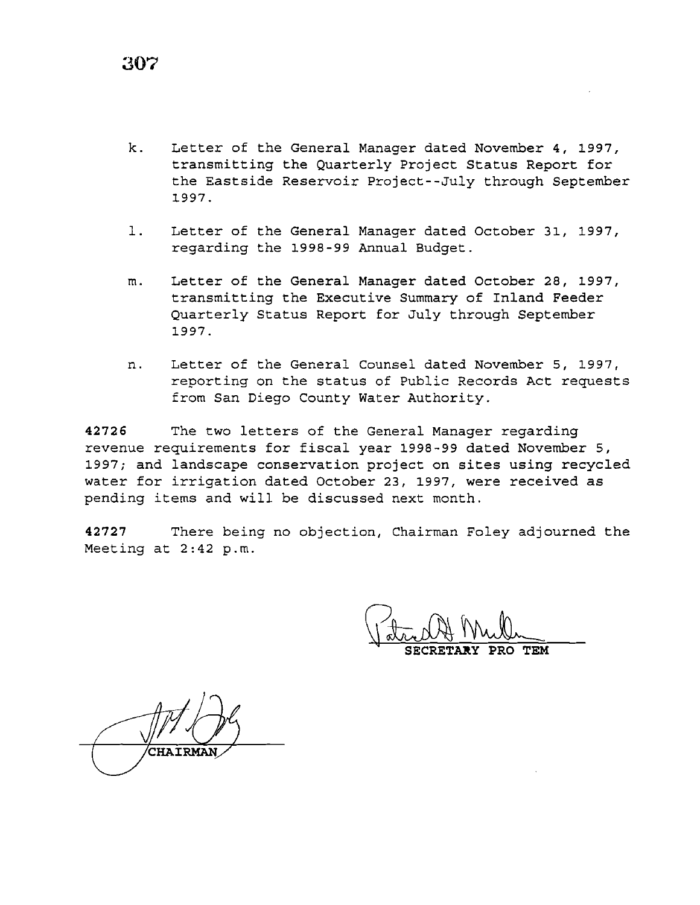k. Letter of the General Manager dated November 4, 1997, transmitting the Quarterly Project Status Report for the Eastside Reservoir Project--July through September 1997.

- l. Letter of the General Manager dated October 31, 1997, regarding the 1998-99 Annual Budget.
- m. Letter of the General Manager dated October 28, 1997, transmitting the Executive Summary of Inland Feeder Quarterly Status Report for July through September 1997.
- n. Letter of the General Counsel dated November 5, 1997, reporting on the status of Public Records Act requests from San Diego County Water Authority.

**42726** The two letters of the General Manager regarding revenue requirements for fiscal year 1998-99 dated November 5, 1997; and landscape conservation project on sites using recycled water for irrigation dated October 23, 1997, were received as pending items and will be discussed next month.

**42727** There being no objection, Chairman Foley adjourned the Meeting at 2:42 p.m.